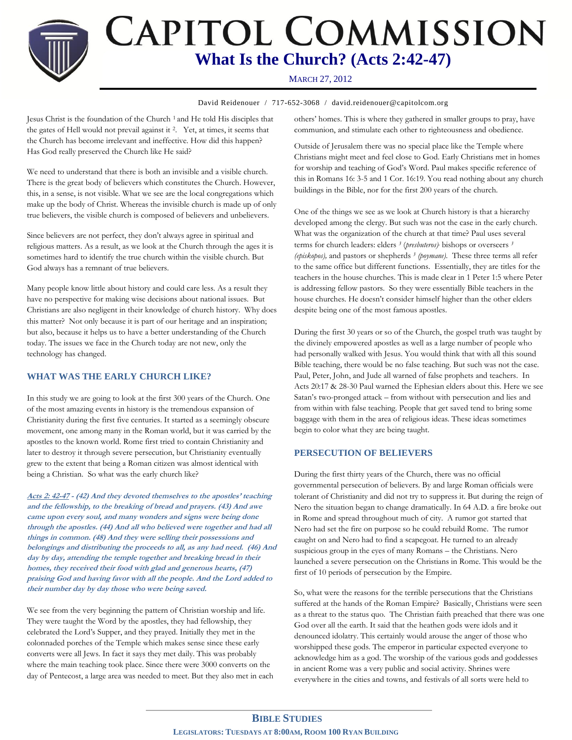**CAPITOL COMMISSION What Is the Church? (Acts 2:42-47)**

## **Bible Studier** MARCH 27, 2012

David Reidenouer / 717-652-3068 / david.reidenouer@capitolcom.org

Jesus Christ is the foundation of the Church <sup>1</sup> and He told His disciples that the gates of Hell would not prevail against it <sup>2</sup>. Yet, at times, it seems that the Church has become irrelevant and ineffective. How did this happen? Has God really preserved the Church like He said?

We need to understand that there is both an invisible and a visible church. There is the great body of believers which constitutes the Church. However, this, in a sense, is not visible. What we see are the local congregations which make up the body of Christ. Whereas the invisible church is made up of only true believers, the visible church is composed of believers and unbelievers.

Since believers are not perfect, they don't always agree in spiritual and religious matters. As a result, as we look at the Church through the ages it is sometimes hard to identify the true church within the visible church. But God always has a remnant of true believers.

Many people know little about history and could care less. As a result they have no perspective for making wise decisions about national issues. But Christians are also negligent in their knowledge of church history. Why does this matter? Not only because it is part of our heritage and an inspiration; but also, because it helps us to have a better understanding of the Church today. The issues we face in the Church today are not new, only the technology has changed.

### **WHAT WAS THE EARLY CHURCH LIKE?**

In this study we are going to look at the first 300 years of the Church. One of the most amazing events in history is the tremendous expansion of Christianity during the first five centuries. It started as a seemingly obscure movement, one among many in the Roman world, but it was carried by the apostles to the known world. Rome first tried to contain Christianity and later to destroy it through severe persecution, but Christianity eventually grew to the extent that being a Roman citizen was almost identical with being a Christian. So what was the early church like?

**Acts 2: 42-47 - (42) And they devoted themselves to the apostles' teaching and the fellowship, to the breaking of bread and prayers. (43) And awe came upon every soul, and many wonders and signs were being done through the apostles. (44) And all who believed were together and had all things in common. (48) And they were selling their possessions and belongings and distributing the proceeds to all, as any had need. (46) And day by day, attending the temple together and breaking bread in their homes, they received their food with glad and generous hearts, (47) praising God and having favor with all the people. And the Lord added to their number day by day those who were being saved.**

We see from the very beginning the pattern of Christian worship and life. They were taught the Word by the apostles, they had fellowship, they celebrated the Lord's Supper, and they prayed. Initially they met in the colonnaded porches of the Temple which makes sense since these early converts were all Jews. In fact it says they met daily. This was probably where the main teaching took place. Since there were 3000 converts on the day of Pentecost, a large area was needed to meet. But they also met in each others' homes. This is where they gathered in smaller groups to pray, have communion, and stimulate each other to righteousness and obedience.

Outside of Jerusalem there was no special place like the Temple where Christians might meet and feel close to God. Early Christians met in homes for worship and teaching of God's Word. Paul makes specific reference of this in Romans 16: 3-5 and 1 Cor. 16:19. You read nothing about any church buildings in the Bible, nor for the first 200 years of the church.

One of the things we see as we look at Church history is that a hierarchy developed among the clergy. But such was not the case in the early church. What was the organization of the church at that time? Paul uses several terms for church leaders: elders *<sup>3</sup>* (*presbuteros),* bishops or overseers *<sup>3</sup> (episkopos),* and pastors or shepherds *<sup>3</sup> (poymane).* These three terms all refer to the same office but different functions. Essentially, they are titles for the teachers in the house churches. This is made clear in 1 Peter 1:5 where Peter is addressing fellow pastors. So they were essentially Bible teachers in the house churches. He doesn't consider himself higher than the other elders despite being one of the most famous apostles.

During the first 30 years or so of the Church, the gospel truth was taught by the divinely empowered apostles as well as a large number of people who had personally walked with Jesus. You would think that with all this sound Bible teaching, there would be no false teaching. But such was not the case. Paul, Peter, John, and Jude all warned of false prophets and teachers. In Acts 20:17 & 28-30 Paul warned the Ephesian elders about this. Here we see Satan's two-pronged attack – from without with persecution and lies and from within with false teaching. People that get saved tend to bring some baggage with them in the area of religious ideas. These ideas sometimes begin to color what they are being taught.

### **PERSECUTION OF BELIEVERS**

During the first thirty years of the Church, there was no official governmental persecution of believers. By and large Roman officials were tolerant of Christianity and did not try to suppress it. But during the reign of Nero the situation began to change dramatically. In 64 A.D. a fire broke out in Rome and spread throughout much of city. A rumor got started that Nero had set the fire on purpose so he could rebuild Rome. The rumor caught on and Nero had to find a scapegoat. He turned to an already suspicious group in the eyes of many Romans – the Christians. Nero launched a severe persecution on the Christians in Rome. This would be the first of 10 periods of persecution by the Empire.

So, what were the reasons for the terrible persecutions that the Christians suffered at the hands of the Roman Empire? Basically, Christians were seen as a threat to the status quo. The Christian faith preached that there was one God over all the earth. It said that the heathen gods were idols and it denounced idolatry. This certainly would arouse the anger of those who worshipped these gods. The emperor in particular expected everyone to acknowledge him as a god. The worship of the various gods and goddesses in ancient Rome was a very public and social activity. Shrines were everywhere in the cities and towns, and festivals of all sorts were held to